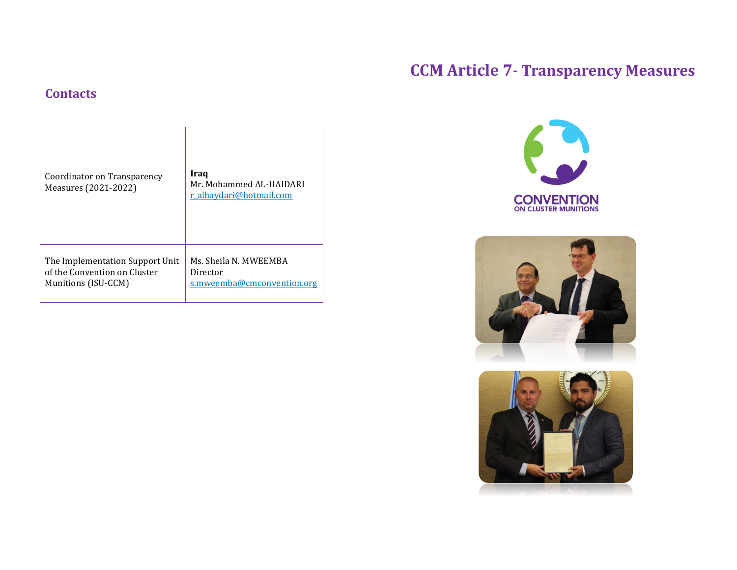# **CCM Article 7- Transparency Measures**

# **Contacts**

| Coordinator on Transparency<br>Measures (2021-2022) | Iraq<br>Mr. Mohammed AL-HAIDARI<br>r alhaydari@hotmail.com |
|-----------------------------------------------------|------------------------------------------------------------|
| The Implementation Support Unit                     | Ms. Sheila N. MWEEMBA                                      |
| of the Convention on Cluster                        | Director                                                   |
| Munitions (ISU-CCM)                                 | s.mweemba@cmconvention.org                                 |